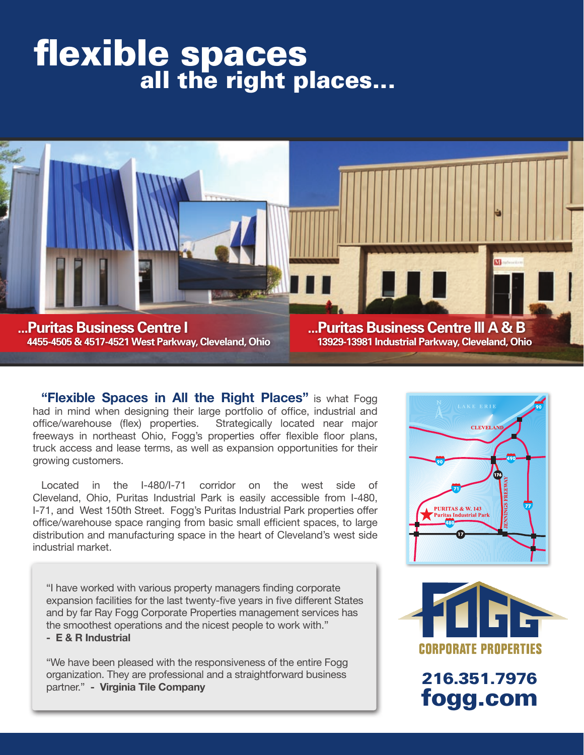# flexible spaces<br>all the right places...



**"Flexible Spaces in All the Right Places"** is what Fogg had in mind when designing their large portfolio of office, industrial and office/warehouse (flex) properties. Strategically located near major freeways in northeast Ohio, Fogg's properties offer flexible floor plans, truck access and lease terms, as well as expansion opportunities for their growing customers.

Located in the I-480/I-71 corridor on the west side of Cleveland, Ohio, Puritas Industrial Park is easily accessible from I-480, I-71, and West 150th Street. Fogg's Puritas Industrial Park properties offer office/warehouse space ranging from basic small efficient spaces, to large distribution and manufacturing space in the heart of Cleveland's west side industrial market.

"I have worked with various property managers finding corporate expansion facilities for the last twenty-five years in five different States and by far Ray Fogg Corporate Properties management services has the smoothest operations and the nicest people to work with."

**- E & R Industrial**

"We have been pleased with the responsiveness of the entire Fogg organization. They are professional and a straightforward business partner." **- Virginia Tile Company**





216.351.7976 fogg.com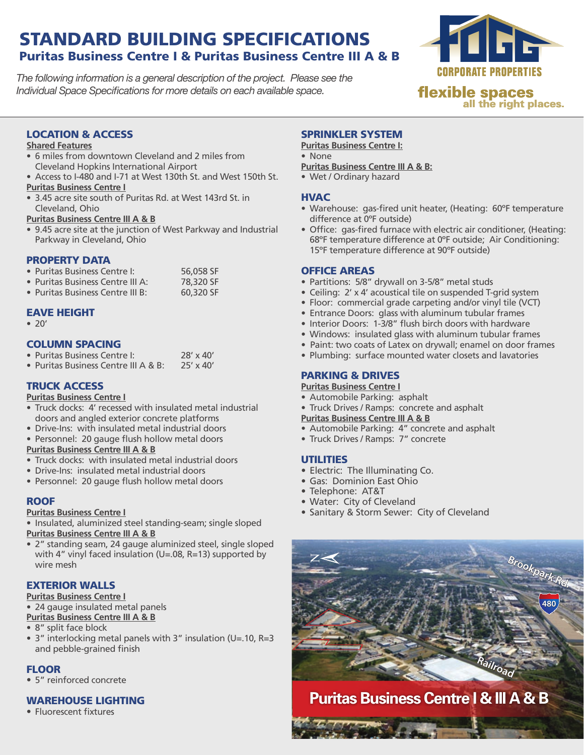# STANDARD BUILDING SPECIFICATIONS Puritas Business Centre I & Puritas Business Centre III A & B

*The following information is a general description of the project. Please see the Individual Space Specifications for more details on each available space.*



**flexible spaces** all the right places.

#### LOCATION & ACCESS

#### **Shared Features**

- 6 miles from downtown Cleveland and 2 miles from Cleveland Hopkins International Airport
- Access to I-480 and I-71 at West 130th St. and West 150th St.

#### **Puritas Business Centre I**

• 3.45 acre site south of Puritas Rd. at West 143rd St. in Cleveland, Ohio

**Puritas Business Centre III A & B**

• 9.45 acre site at the junction of West Parkway and Industrial Parkway in Cleveland, Ohio

#### PROPERTY DATA

| • Puritas Business Centre I:     | 56,058 SF |
|----------------------------------|-----------|
| • Puritas Business Centre III A: | 78,320 SF |
| • Puritas Business Centre III B: | 60,320 SF |

#### EAVE HEIGHT

 $\bullet$  20'

#### COLUMN SPACING

| • Puritas Business Centre I:         | $28' \times 40'$ |
|--------------------------------------|------------------|
| • Puritas Business Centre III A & B: | $25' \times 40'$ |

#### TRUCK ACCESS

#### **Puritas Business Centre I**

- Truck docks: 4' recessed with insulated metal industrial doors and angled exterior concrete platforms
- Drive-Ins: with insulated metal industrial doors
- • Personnel: 20 gauge flush hollow metal doors

#### **Puritas Business Centre III A & B**

- Truck docks: with insulated metal industrial doors
- • Drive-Ins: insulated metal industrial doors
- • Personnel: 20 gauge flush hollow metal doors

#### ROOF

#### **Puritas Business Centre I**

• Insulated, aluminized steel standing-seam; single sloped

**Puritas Business Centre III A & B**

• 2" standing seam, 24 gauge aluminized steel, single sloped with 4" vinyl faced insulation (U=.08, R=13) supported by wire mesh

#### EXTERIOR WALLS

#### **Puritas Business Centre I**

• 24 gauge insulated metal panels **Puritas Business Centre III A & B**

#### • 8" split face block

• 3" interlocking metal panels with 3" insulation (U=.10, R=3 and pebble-grained finish

#### **FLOOR**

• 5" reinforced concrete

#### WARFHOUSE LIGHTING

• Fluorescent fixtures

#### SPRINKLER SYSTEM

**Puritas Business Centre I:** • None

- **Puritas Business Centre III A & B:**
- Wet / Ordinary hazard

#### **HVAC**

- Warehouse: gas-fired unit heater, (Heating: 60°F temperature difference at 0ºF outside)
- Office: gas-fired furnace with electric air conditioner, (Heating: 68ºF temperature difference at 0ºF outside; Air Conditioning: 15ºF temperature difference at 90ºF outside)

#### OFFICE AREAS

- Partitions: 5/8" drywall on 3-5/8" metal studs
- Ceiling: 2' x 4' acoustical tile on suspended T-grid system
- Floor: commercial grade carpeting and/or vinyl tile (VCT)
- Entrance Doors: glass with aluminum tubular frames
- Interior Doors: 1-3/8" flush birch doors with hardware
- Windows: insulated glass with aluminum tubular frames
- Paint: two coats of Latex on drywall; enamel on door frames
- Plumbing: surface mounted water closets and lavatories

#### PARKING & DRIVES

#### **Puritas Business Centre I**

- Automobile Parking: asphalt
- Truck Drives / Ramps: concrete and asphalt
- **Puritas Business Centre III A & B**
- Automobile Parking: 4" concrete and asphalt
- Truck Drives / Ramps: 7" concrete

#### **UTILITIES**

- Electric: The Illuminating Co.
- Gas: Dominion East Ohio
- Telephone: AT&T
- • Water: City of Cleveland
- Sanitary & Storm Sewer: City of Cleveland



**Puritas Business Centre I & III A & B**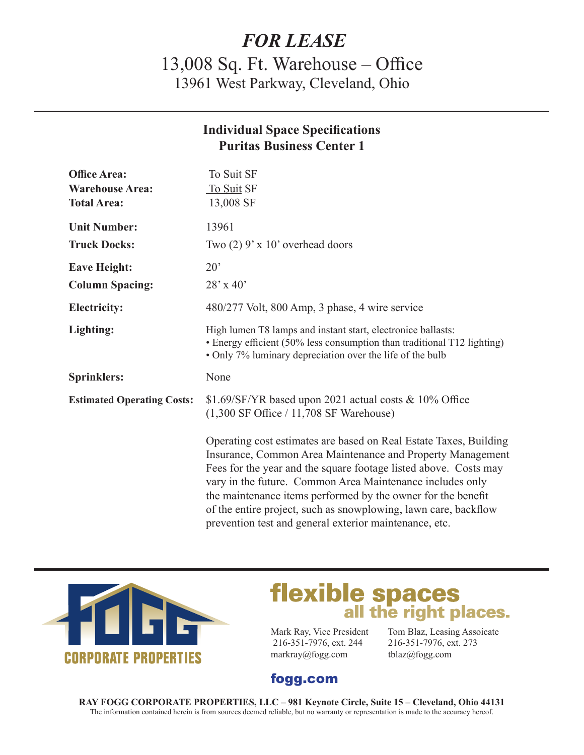# *FOR LEASE*

13,008 Sq. Ft. Warehouse – Office 13961 West Parkway, Cleveland, Ohio

### **Individual Space Specifications Puritas Business Center 1**

| <b>Office Area:</b><br><b>Warehouse Area:</b><br><b>Total Area:</b> | To Suit SF<br>To Suit SF<br>13,008 SF                                                                                                                                                                                                                                                                                                                                                               |
|---------------------------------------------------------------------|-----------------------------------------------------------------------------------------------------------------------------------------------------------------------------------------------------------------------------------------------------------------------------------------------------------------------------------------------------------------------------------------------------|
| <b>Unit Number:</b><br><b>Truck Docks:</b>                          | 13961<br>Two $(2)$ 9' x 10' overhead doors                                                                                                                                                                                                                                                                                                                                                          |
| <b>Eave Height:</b><br><b>Column Spacing:</b>                       | $20^{\circ}$<br>$28'$ x 40'                                                                                                                                                                                                                                                                                                                                                                         |
| <b>Electricity:</b>                                                 | 480/277 Volt, 800 Amp, 3 phase, 4 wire service                                                                                                                                                                                                                                                                                                                                                      |
| Lighting:                                                           | High lumen T8 lamps and instant start, electronice ballasts:<br>• Energy efficient (50% less consumption than traditional T12 lighting)<br>• Only 7% luminary depreciation over the life of the bulb                                                                                                                                                                                                |
| <b>Sprinklers:</b>                                                  | None                                                                                                                                                                                                                                                                                                                                                                                                |
| <b>Estimated Operating Costs:</b>                                   | \$1.69/SF/YR based upon 2021 actual costs & 10% Office<br>$(1,300 \text{ SF Office} / 11,708 \text{ SF warehouse})$                                                                                                                                                                                                                                                                                 |
|                                                                     | Operating cost estimates are based on Real Estate Taxes, Building<br>Insurance, Common Area Maintenance and Property Management<br>Fees for the year and the square footage listed above. Costs may<br>vary in the future. Common Area Maintenance includes only<br>the maintenance items performed by the owner for the benefit<br>of the entire project, such as snowplowing, lawn care, backflow |



# **flexible spaces**<br>all the right places.

 216-351-7976, ext. 244 216-351-7976, ext. 273 markray@fogg.com tblaz@fogg.com

prevention test and general exterior maintenance, etc.

Mark Ray, Vice President Tom Blaz, Leasing Assoicate

## fogg.com

**RAY FOGG CORPORATE PROPERTIES, LLC – 981 Keynote Circle, Suite 15 – Cleveland, Ohio 44131** The information contained herein is from sources deemed reliable, but no warranty or representation is made to the accuracy hereof.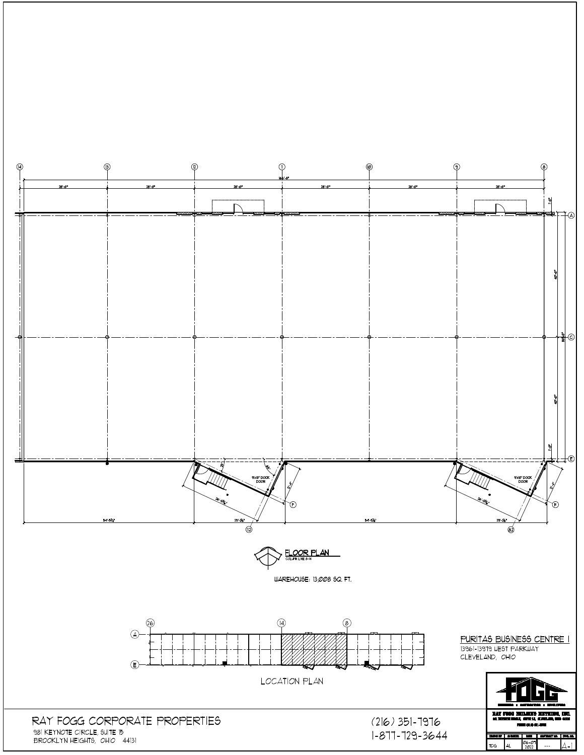